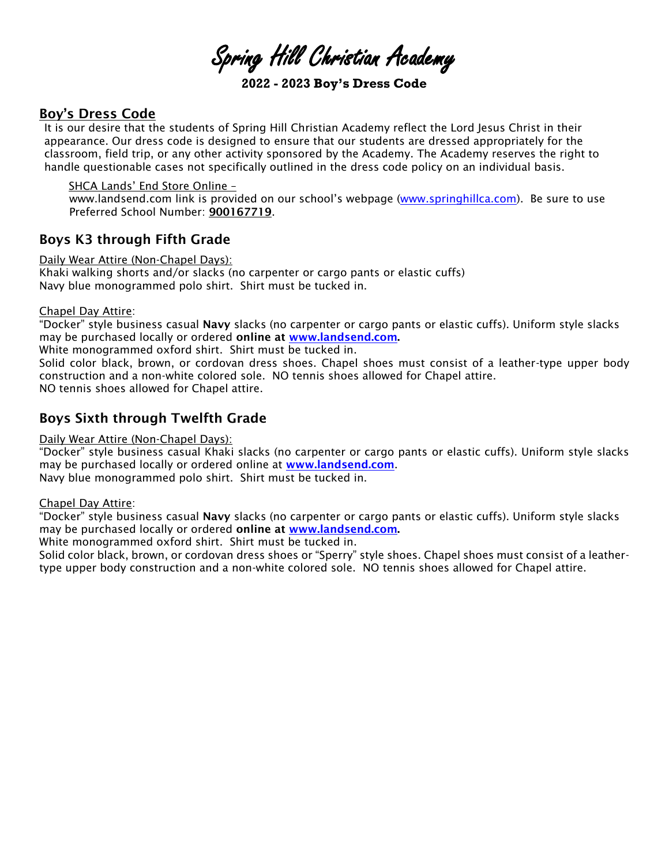Spring Hill Christian Academy

**2022 - 2023 Boy's Dress Code**

## Boy's Dress Code

It is our desire that the students of Spring Hill Christian Academy reflect the Lord Jesus Christ in their appearance. Our dress code is designed to ensure that our students are dressed appropriately for the classroom, field trip, or any other activity sponsored by the Academy. The Academy reserves the right to handle questionable cases not specifically outlined in the dress code policy on an individual basis.

SHCA Lands' End Store Online –

www.landsend.com link is provided on our school's webpage [\(www.springhillca.com\)](http://www.springhillca.com/). Be sure to use Preferred School Number: 900167719.

## Boys K3 through Fifth Grade

Daily Wear Attire (Non-Chapel Days):

Khaki walking shorts and/or slacks (no carpenter or cargo pants or elastic cuffs) Navy blue monogrammed polo shirt. Shirt must be tucked in.

### Chapel Day Attire:

"Docker" style business casual Navy slacks (no carpenter or cargo pants or elastic cuffs). Uniform style slacks may be purchased locally or ordered online at [www.landsend.com.](https://www.landsend.com/co/account/school-uniforms?launchSearch=true&cm_re=lec-_-uni-_-tab-_-hr1-1-1-_-shopbyschool-_-20180608-_-area)

White monogrammed oxford shirt. Shirt must be tucked in.

Solid color black, brown, or cordovan dress shoes. Chapel shoes must consist of a leather-type upper body construction and a non-white colored sole. NO tennis shoes allowed for Chapel attire.

NO tennis shoes allowed for Chapel attire.

## Boys Sixth through Twelfth Grade

Daily Wear Attire (Non-Chapel Days):

"Docker" style business casual Khaki slacks (no carpenter or cargo pants or elastic cuffs). Uniform style slacks may be purchased locally or ordered online at [www.landsend.com](https://www.landsend.com/co/account/school-uniforms?launchSearch=true&cm_re=lec-_-uni-_-tab-_-hr1-1-1-_-shopbyschool-_-20180608-_-area).

Navy blue monogrammed polo shirt. Shirt must be tucked in.

#### Chapel Day Attire:

"Docker" style business casual Navy slacks (no carpenter or cargo pants or elastic cuffs). Uniform style slacks may be purchased locally or ordered online at [www.landsend.com.](https://www.landsend.com/co/account/school-uniforms?launchSearch=true&cm_re=lec-_-uni-_-tab-_-hr1-1-1-_-shopbyschool-_-20180608-_-area)

White monogrammed oxford shirt. Shirt must be tucked in.

Solid color black, brown, or cordovan dress shoes or "Sperry" style shoes. Chapel shoes must consist of a leathertype upper body construction and a non-white colored sole. NO tennis shoes allowed for Chapel attire.